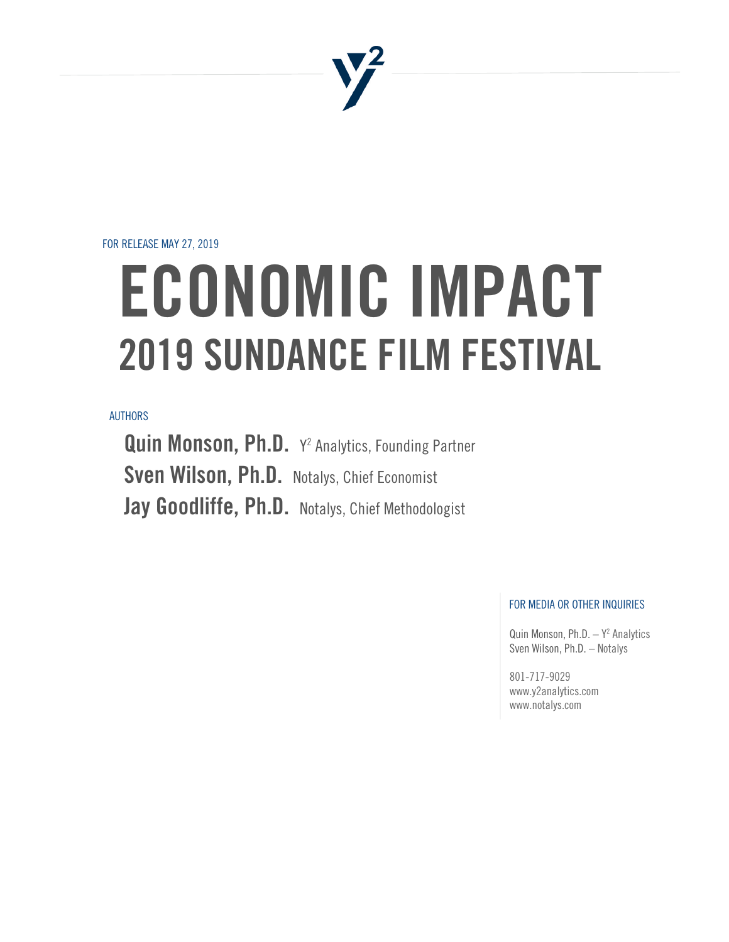

FOR RELEASE MAY 27, 2019

# ECONOMIC IMPACT 2019 SUNDANCE FILM FESTIVAL

AUTHORS

Quin Monson, Ph.D. Y<sup>2</sup> Analytics, Founding Partner Sven Wilson, Ph.D. Notalys, Chief Economist Jay Goodliffe, Ph.D. Notalys, Chief Methodologist

FOR MEDIA OR OTHER INQUIRIES

Quin Monson, Ph.D.  $- Y^2$  Analytics Sven Wilson, Ph.D. – Notalys

801-717-9029 www.y2analytics.com www.notalys.com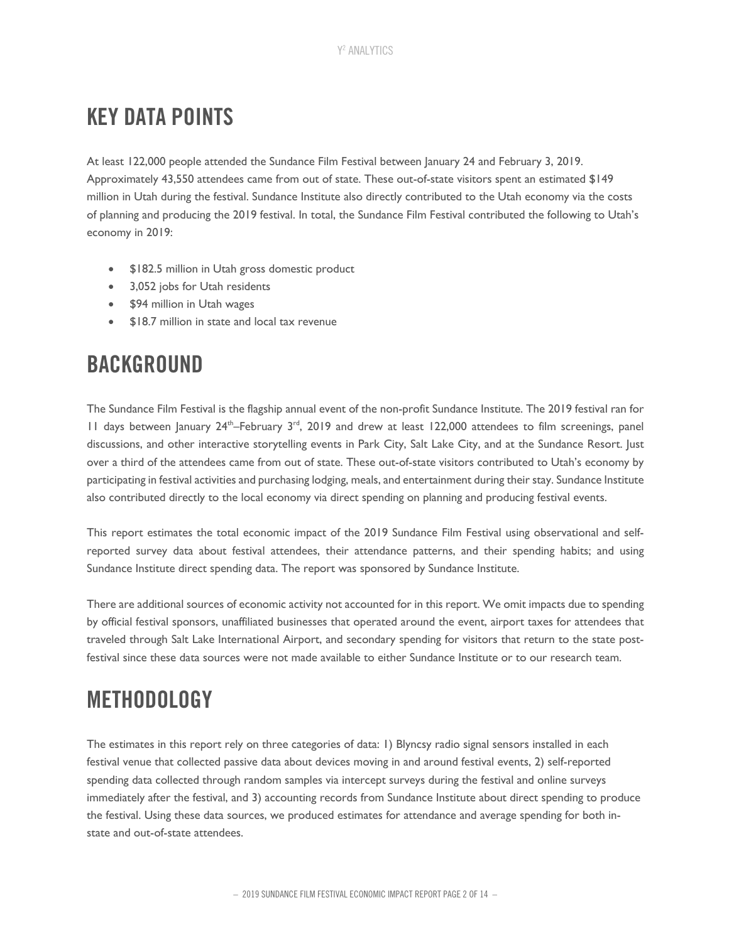# KEY DATA POINTS

At least 122,000 people attended the Sundance Film Festival between January 24 and February 3, 2019. Approximately 43,550 attendees came from out of state. These out-of-state visitors spent an estimated \$149 million in Utah during the festival. Sundance Institute also directly contributed to the Utah economy via the costs of planning and producing the 2019 festival. In total, the Sundance Film Festival contributed the following to Utah's economy in 2019:

- \$182.5 million in Utah gross domestic product
- 3,052 jobs for Utah residents
- \$94 million in Utah wages
- **\$18.7 million in state and local tax revenue**

# BACKGROUND

The Sundance Film Festival is the flagship annual event of the non-profit Sundance Institute. The 2019 festival ran for 11 days between January 24<sup>th</sup>–February 3<sup>rd</sup>, 2019 and drew at least 122,000 attendees to film screenings, panel discussions, and other interactive storytelling events in Park City, Salt Lake City, and at the Sundance Resort. Just over a third of the attendees came from out of state. These out-of-state visitors contributed to Utah's economy by participating in festival activities and purchasing lodging, meals, and entertainment during their stay. Sundance Institute also contributed directly to the local economy via direct spending on planning and producing festival events.

This report estimates the total economic impact of the 2019 Sundance Film Festival using observational and selfreported survey data about festival attendees, their attendance patterns, and their spending habits; and using Sundance Institute direct spending data. The report was sponsored by Sundance Institute.

There are additional sources of economic activity not accounted for in this report. We omit impacts due to spending by official festival sponsors, unaffiliated businesses that operated around the event, airport taxes for attendees that traveled through Salt Lake International Airport, and secondary spending for visitors that return to the state postfestival since these data sources were not made available to either Sundance Institute or to our research team.

# **METHODOLOGY**

The estimates in this report rely on three categories of data: 1) Blyncsy radio signal sensors installed in each festival venue that collected passive data about devices moving in and around festival events, 2) self-reported spending data collected through random samples via intercept surveys during the festival and online surveys immediately after the festival, and 3) accounting records from Sundance Institute about direct spending to produce the festival. Using these data sources, we produced estimates for attendance and average spending for both instate and out-of-state attendees.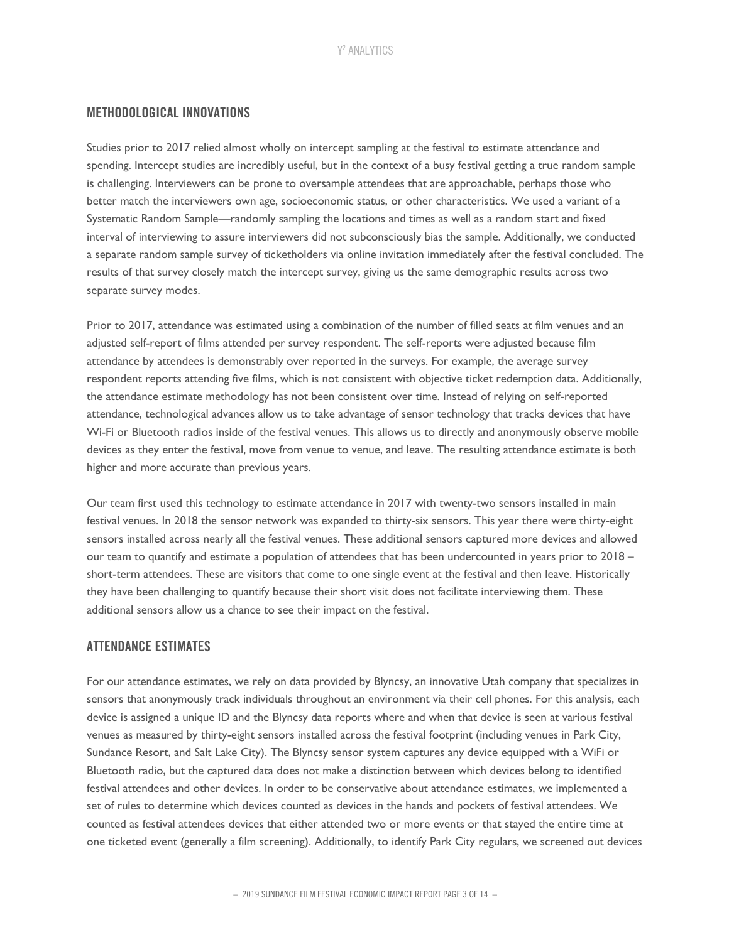#### METHODOLOGICAL INNOVATIONS

Studies prior to 2017 relied almost wholly on intercept sampling at the festival to estimate attendance and spending. Intercept studies are incredibly useful, but in the context of a busy festival getting a true random sample is challenging. Interviewers can be prone to oversample attendees that are approachable, perhaps those who better match the interviewers own age, socioeconomic status, or other characteristics. We used a variant of a Systematic Random Sample—randomly sampling the locations and times as well as a random start and fixed interval of interviewing to assure interviewers did not subconsciously bias the sample. Additionally, we conducted a separate random sample survey of ticketholders via online invitation immediately after the festival concluded. The results of that survey closely match the intercept survey, giving us the same demographic results across two separate survey modes.

Prior to 2017, attendance was estimated using a combination of the number of filled seats at film venues and an adjusted self-report of films attended per survey respondent. The self-reports were adjusted because film attendance by attendees is demonstrably over reported in the surveys. For example, the average survey respondent reports attending five films, which is not consistent with objective ticket redemption data. Additionally, the attendance estimate methodology has not been consistent over time. Instead of relying on self-reported attendance, technological advances allow us to take advantage of sensor technology that tracks devices that have Wi-Fi or Bluetooth radios inside of the festival venues. This allows us to directly and anonymously observe mobile devices as they enter the festival, move from venue to venue, and leave. The resulting attendance estimate is both higher and more accurate than previous years.

Our team first used this technology to estimate attendance in 2017 with twenty-two sensors installed in main festival venues. In 2018 the sensor network was expanded to thirty-six sensors. This year there were thirty-eight sensors installed across nearly all the festival venues. These additional sensors captured more devices and allowed our team to quantify and estimate a population of attendees that has been undercounted in years prior to 2018 – short-term attendees. These are visitors that come to one single event at the festival and then leave. Historically they have been challenging to quantify because their short visit does not facilitate interviewing them. These additional sensors allow us a chance to see their impact on the festival.

#### ATTENDANCE ESTIMATES

For our attendance estimates, we rely on data provided by Blyncsy, an innovative Utah company that specializes in sensors that anonymously track individuals throughout an environment via their cell phones. For this analysis, each device is assigned a unique ID and the Blyncsy data reports where and when that device is seen at various festival venues as measured by thirty-eight sensors installed across the festival footprint (including venues in Park City, Sundance Resort, and Salt Lake City). The Blyncsy sensor system captures any device equipped with a WiFi or Bluetooth radio, but the captured data does not make a distinction between which devices belong to identified festival attendees and other devices. In order to be conservative about attendance estimates, we implemented a set of rules to determine which devices counted as devices in the hands and pockets of festival attendees. We counted as festival attendees devices that either attended two or more events or that stayed the entire time at one ticketed event (generally a film screening). Additionally, to identify Park City regulars, we screened out devices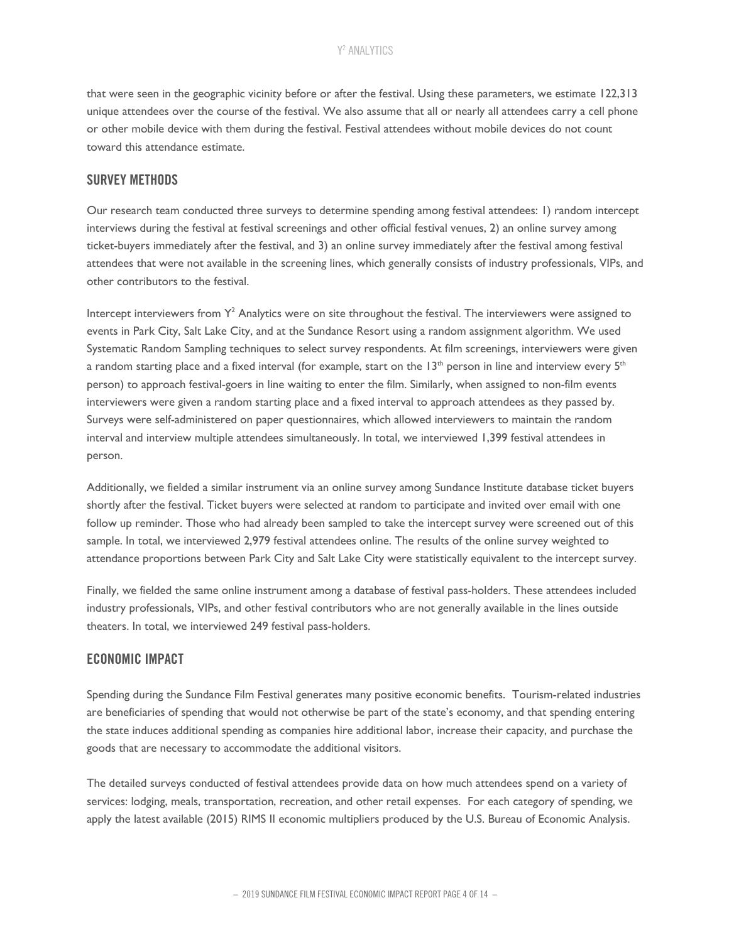that were seen in the geographic vicinity before or after the festival. Using these parameters, we estimate 122,313 unique attendees over the course of the festival. We also assume that all or nearly all attendees carry a cell phone or other mobile device with them during the festival. Festival attendees without mobile devices do not count toward this attendance estimate.

#### SURVEY METHODS

Our research team conducted three surveys to determine spending among festival attendees: 1) random intercept interviews during the festival at festival screenings and other official festival venues, 2) an online survey among ticket-buyers immediately after the festival, and 3) an online survey immediately after the festival among festival attendees that were not available in the screening lines, which generally consists of industry professionals, VIPs, and other contributors to the festival.

Intercept interviewers from Y<sup>2</sup> Analytics were on site throughout the festival. The interviewers were assigned to events in Park City, Salt Lake City, and at the Sundance Resort using a random assignment algorithm. We used Systematic Random Sampling techniques to select survey respondents. At film screenings, interviewers were given a random starting place and a fixed interval (for example, start on the  $13<sup>th</sup>$  person in line and interview every  $5<sup>th</sup>$ person) to approach festival-goers in line waiting to enter the film. Similarly, when assigned to non-film events interviewers were given a random starting place and a fixed interval to approach attendees as they passed by. Surveys were self-administered on paper questionnaires, which allowed interviewers to maintain the random interval and interview multiple attendees simultaneously. In total, we interviewed 1,399 festival attendees in person.

Additionally, we fielded a similar instrument via an online survey among Sundance Institute database ticket buyers shortly after the festival. Ticket buyers were selected at random to participate and invited over email with one follow up reminder. Those who had already been sampled to take the intercept survey were screened out of this sample. In total, we interviewed 2,979 festival attendees online. The results of the online survey weighted to attendance proportions between Park City and Salt Lake City were statistically equivalent to the intercept survey.

Finally, we fielded the same online instrument among a database of festival pass-holders. These attendees included industry professionals, VIPs, and other festival contributors who are not generally available in the lines outside theaters. In total, we interviewed 249 festival pass-holders.

#### ECONOMIC IMPACT

Spending during the Sundance Film Festival generates many positive economic benefits. Tourism-related industries are beneficiaries of spending that would not otherwise be part of the state's economy, and that spending entering the state induces additional spending as companies hire additional labor, increase their capacity, and purchase the goods that are necessary to accommodate the additional visitors.

The detailed surveys conducted of festival attendees provide data on how much attendees spend on a variety of services: lodging, meals, transportation, recreation, and other retail expenses. For each category of spending, we apply the latest available (2015) RIMS II economic multipliers produced by the U.S. Bureau of Economic Analysis.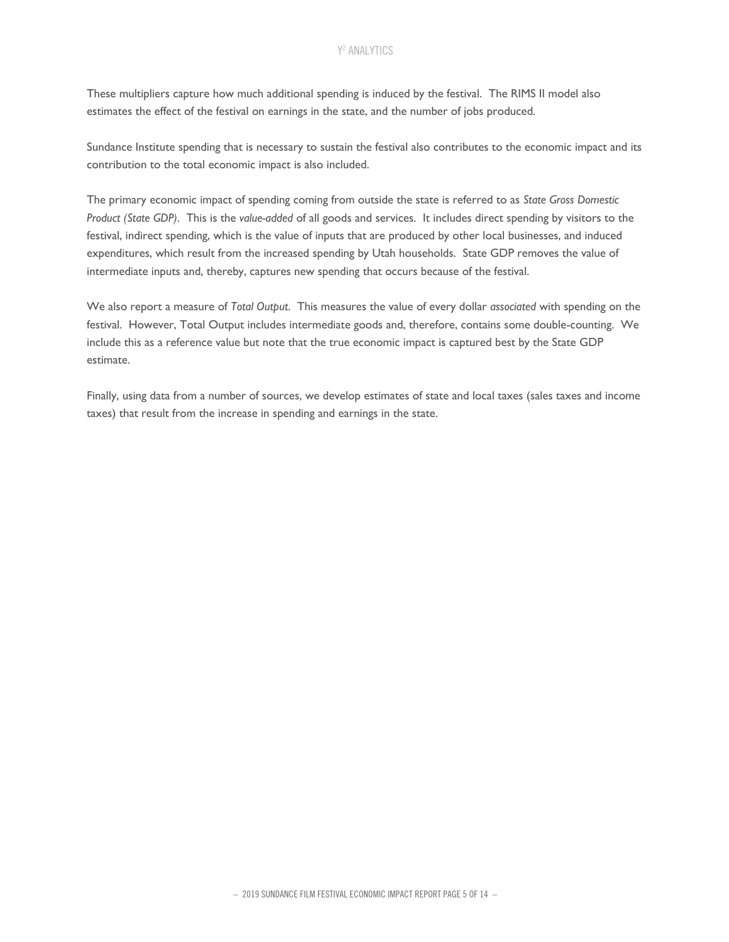#### Y<sup>2</sup> ANALYTICS

These multipliers capture how much additional spending is induced by the festival. The RIMS II model also estimates the effect of the festival on earnings in the state, and the number of jobs produced.

Sundance Institute spending that is necessary to sustain the festival also contributes to the economic impact and its contribution to the total economic impact is also included.

The primary economic impact of spending coming from outside the state is referred to as *State Gross Domestic Product (State GDP)*. This is the *value-added* of all goods and services. It includes direct spending by visitors to the festival, indirect spending, which is the value of inputs that are produced by other local businesses, and induced expenditures, which result from the increased spending by Utah households. State GDP removes the value of intermediate inputs and, thereby, captures new spending that occurs because of the festival.

We also report a measure of *Total Output*. This measures the value of every dollar *associated* with spending on the festival. However, Total Output includes intermediate goods and, therefore, contains some double-counting. We include this as a reference value but note that the true economic impact is captured best by the State GDP estimate.

Finally, using data from a number of sources, we develop estimates of state and local taxes (sales taxes and income taxes) that result from the increase in spending and earnings in the state.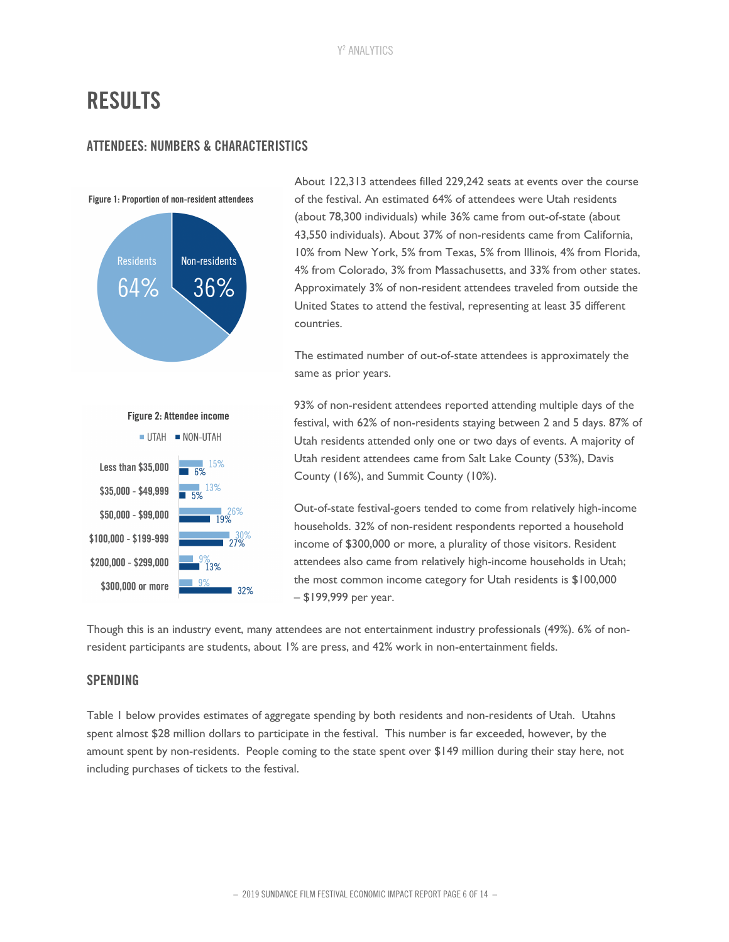# RESULTS

## ATTENDEES: NUMBERS & CHARACTERISTICS

#### Figure 1: Proportion of non-resident attendees





About 122,313 attendees filled 229,242 seats at events over the course of the festival. An estimated 64% of attendees were Utah residents (about 78,300 individuals) while 36% came from out-of-state (about 43,550 individuals). About 37% of non-residents came from California, 10% from New York, 5% from Texas, 5% from Illinois, 4% from Florida, 4% from Colorado, 3% from Massachusetts, and 33% from other states. Approximately 3% of non-resident attendees traveled from outside the United States to attend the festival, representing at least 35 different countries.

The estimated number of out-of-state attendees is approximately the same as prior years.

93% of non-resident attendees reported attending multiple days of the festival, with 62% of non-residents staying between 2 and 5 days. 87% of Utah residents attended only one or two days of events. A majority of Utah resident attendees came from Salt Lake County (53%), Davis County (16%), and Summit County (10%).

Out-of-state festival-goers tended to come from relatively high-income households. 32% of non-resident respondents reported a household income of \$300,000 or more, a plurality of those visitors. Resident attendees also came from relatively high-income households in Utah; the most common income category for Utah residents is \$100,000 – \$199,999 per year.

Though this is an industry event, many attendees are not entertainment industry professionals (49%). 6% of nonresident participants are students, about 1% are press, and 42% work in non-entertainment fields.

#### **SPENDING**

Table 1 below provides estimates of aggregate spending by both residents and non-residents of Utah. Utahns spent almost \$28 million dollars to participate in the festival. This number is far exceeded, however, by the amount spent by non-residents. People coming to the state spent over \$149 million during their stay here, not including purchases of tickets to the festival.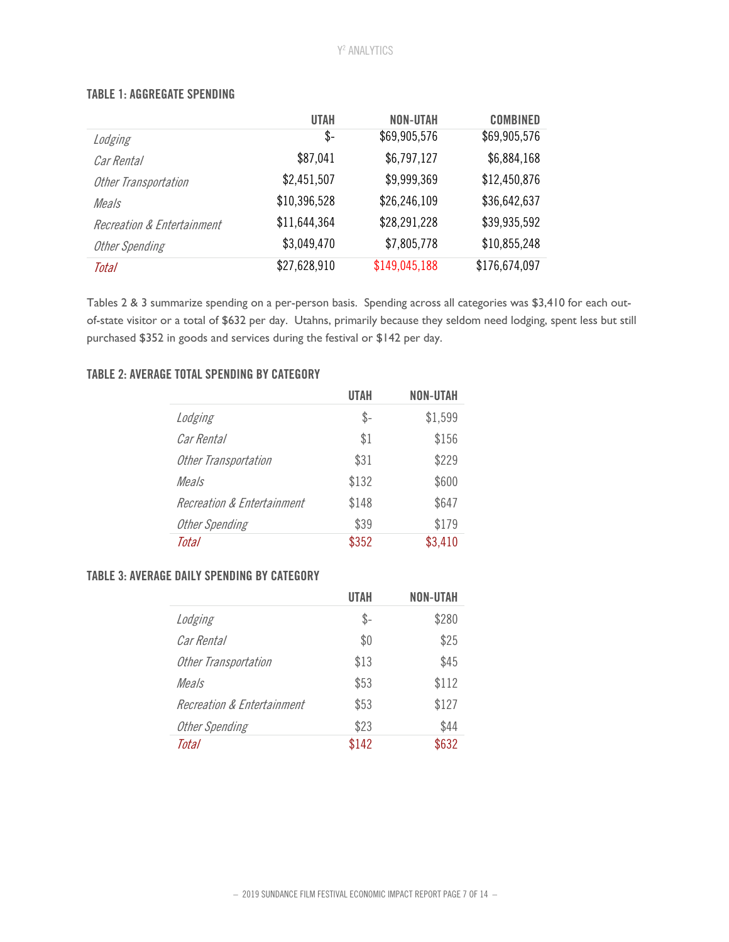#### TABLE 1: AGGREGATE SPENDING

|                                       | <b>UTAH</b>  | <b>NON-UTAH</b> | <b>COMBINED</b> |
|---------------------------------------|--------------|-----------------|-----------------|
| Lodging                               | \$-          | \$69,905,576    | \$69,905,576    |
| Car Rental                            | \$87,041     | \$6,797,127     | \$6,884,168     |
| Other Transportation                  | \$2,451,507  | \$9,999,369     | \$12,450,876    |
| Meals                                 | \$10,396,528 | \$26,246,109    | \$36,642,637    |
| <b>Recreation &amp; Entertainment</b> | \$11,644,364 | \$28,291,228    | \$39,935,592    |
| Other Spending                        | \$3,049,470  | \$7,805,778     | \$10,855,248    |
| Total                                 | \$27,628,910 | \$149,045,188   | \$176,674,097   |

Tables 2 & 3 summarize spending on a per-person basis. Spending across all categories was \$3,410 for each outof-state visitor or a total of \$632 per day. Utahns, primarily because they seldom need lodging, spent less but still purchased \$352 in goods and services during the festival or \$142 per day.

## TABLE 2: AVERAGE TOTAL SPENDING BY CATEGORY

|                            | <b>UTAH</b> | NON-UTAH |
|----------------------------|-------------|----------|
| Lodging                    | \$-         | \$1,599  |
| Car Rental                 | \$1         | \$156    |
| Other Transportation       | \$31        | \$229    |
| Meals                      | \$132       | \$600    |
| Recreation & Entertainment | \$148       | \$647    |
| Other Spending             | \$39        | \$179    |
| Total                      | \$352       | \$3,410  |

#### TABLE 3: AVERAGE DAILY SPENDING BY CATEGORY

|                                       | <b>UTAH</b> | NON-UTAH |
|---------------------------------------|-------------|----------|
| Lodging                               | \$-         | \$280    |
| Car Rental                            | \$0         | \$25     |
| Other Transportation                  | \$13        | \$45     |
| Meals                                 | \$53        | \$112    |
| <i>Recreation &amp; Entertainment</i> | \$53        | \$127    |
| Other Spending                        | \$23        | \$44     |
| Total                                 | \$142       | \$632    |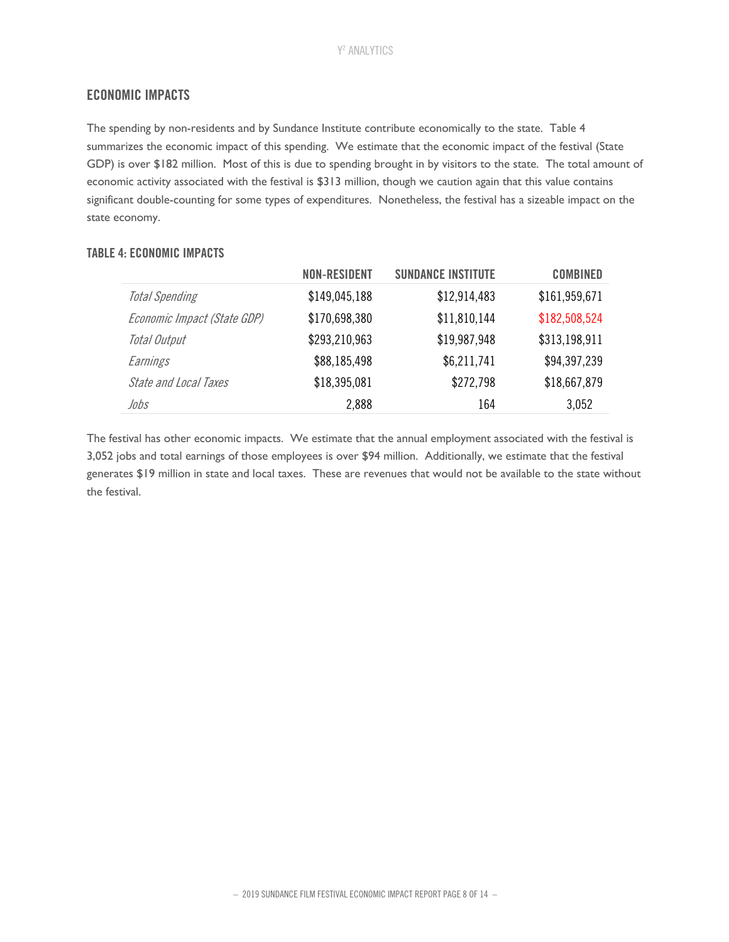## ECONOMIC IMPACTS

The spending by non-residents and by Sundance Institute contribute economically to the state. Table 4 summarizes the economic impact of this spending. We estimate that the economic impact of the festival (State GDP) is over \$182 million. Most of this is due to spending brought in by visitors to the state. The total amount of economic activity associated with the festival is \$313 million, though we caution again that this value contains significant double-counting for some types of expenditures. Nonetheless, the festival has a sizeable impact on the state economy.

|                              | <b>NON-RESIDENT</b> | <b>SUNDANCE INSTITUTE</b> | <b>COMBINED</b> |
|------------------------------|---------------------|---------------------------|-----------------|
| <b>Total Spending</b>        | \$149,045,188       | \$12,914,483              | \$161,959,671   |
| Economic Impact (State GDP)  | \$170,698,380       | \$11,810,144              | \$182,508,524   |
| Total Output                 | \$293,210,963       | \$19,987,948              | \$313,198,911   |
| Earnings                     | \$88,185,498        | \$6,211,741               | \$94,397,239    |
| <b>State and Local Taxes</b> | \$18,395,081        | \$272,798                 | \$18,667,879    |
| Jobs                         | 2,888               | 164                       | 3,052           |

#### TABLE 4: ECONOMIC IMPACTS

The festival has other economic impacts. We estimate that the annual employment associated with the festival is 3,052 jobs and total earnings of those employees is over \$94 million. Additionally, we estimate that the festival generates \$19 million in state and local taxes. These are revenues that would not be available to the state without the festival.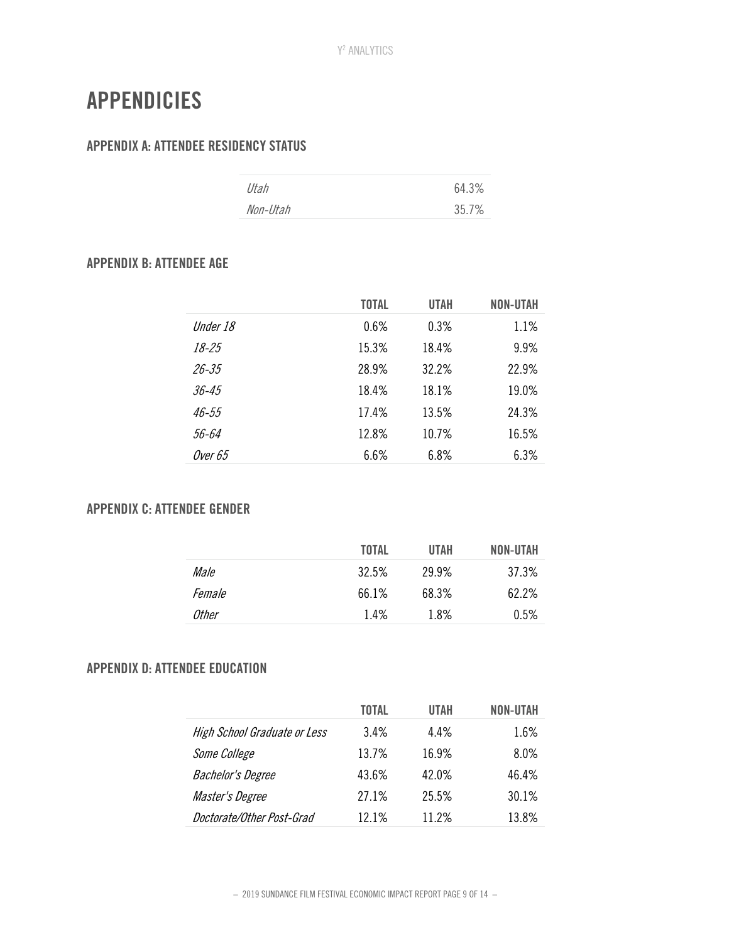# APPENDICIES

# APPENDIX A: ATTENDEE RESIDENCY STATUS

| Utah     | 64.3% |
|----------|-------|
| Non-Utah | 35.7% |

## APPENDIX B: ATTENDEE AGE

|                | <b>TOTAL</b> | <b>UTAH</b> | <b>NON-UTAH</b> |
|----------------|--------------|-------------|-----------------|
| Under 18       | 0.6%         | 0.3%        | 1.1%            |
| $18 - 25$      | 15.3%        | 18.4%       | 9.9%            |
| $26 - 35$      | 28.9%        | 32.2%       | 22.9%           |
| 36-45          | 18.4%        | 18.1%       | 19.0%           |
| 46-55          | 17.4%        | 13.5%       | 24.3%           |
| 56-64          | 12.8%        | 10.7%       | 16.5%           |
| <b>Over 65</b> | 6.6%         | 6.8%        | 6.3%            |

# APPENDIX C: ATTENDEE GENDER

|        | <b>TOTAL</b> | UTAH  | <b>NON-UTAH</b> |
|--------|--------------|-------|-----------------|
| Male   | 32.5%        | 29.9% | 37.3%           |
| Female | 66.1%        | 68.3% | $62.2\%$        |
| Other  | 14%          | 1.8%  | 0.5%            |

# APPENDIX D: ATTENDEE EDUCATION

|                              | TOTAL | <b>UTAH</b> | <b>NON-UTAH</b> |
|------------------------------|-------|-------------|-----------------|
| High School Graduate or Less | 3.4%  | 4.4%        | 1.6%            |
| Some College                 | 13.7% | 16.9%       | 8.0%            |
| <b>Bachelor's Degree</b>     | 43.6% | 42.0%       | 46.4%           |
| Master's Degree              | 27.1% | 25.5%       | 30.1%           |
| Doctorate/Other Post-Grad    | 121%  | 11 2%       | 13.8%           |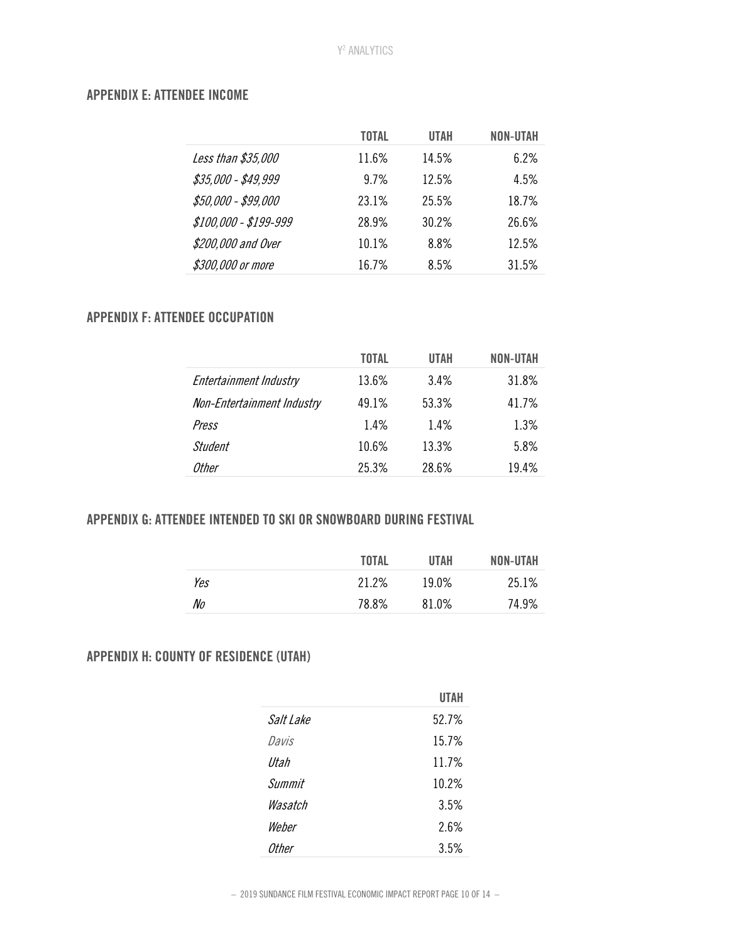# APPENDIX E: ATTENDEE INCOME

|                       | TOTAL | <b>UTAH</b> | <b>NON-UTAH</b> |
|-----------------------|-------|-------------|-----------------|
| Less than \$35,000    | 11.6% | 14.5%       | 6.2%            |
| \$35,000 - \$49,999   | 9.7%  | 12.5%       | 4.5%            |
| \$50,000 - \$99,000   | 23.1% | 25.5%       | 18.7%           |
| \$100,000 - \$199-999 | 28.9% | 30.2%       | 26.6%           |
| \$200,000 and Over    | 10.1% | 8.8%        | 12.5%           |
| \$300,000 or more     | 16.7% | 8.5%        | 31.5%           |

# APPENDIX F: ATTENDEE OCCUPATION

|                            | TOTAL | <b>UTAH</b> | <b>NON-UTAH</b> |
|----------------------------|-------|-------------|-----------------|
| Entertainment Industry     | 13.6% | 3.4%        | 31.8%           |
| Non-Entertainment Industry | 49.1% | 53.3%       | 41.7%           |
| Press                      | 1.4%  | 1.4%        | 1.3%            |
| <b>Student</b>             | 10.6% | 13.3%       | 5.8%            |
| Other                      | 25.3% | 28.6%       | 19.4%           |

# APPENDIX G: ATTENDEE INTENDED TO SKI OR SNOWBOARD DURING FESTIVAL

|     | <b>TOTAL</b> | <b>UTAH</b> | <b>NON-UTAH</b> |
|-----|--------------|-------------|-----------------|
| Yes | 21.2%        | 19.0%       | 25.1%           |
| No  | 78.8%        | 81.0%       | 74.9%           |

# APPENDIX H: COUNTY OF RESIDENCE (UTAH)

|              | <b>IITAH</b> |
|--------------|--------------|
| Salt Lake    | 52.7%        |
| Davis        | 15.7%        |
| IJtah        | 11.7%        |
| Summit       | 10.2%        |
| Wasatch      | 3.5%         |
| Weber        | 2.6%         |
| <i>Other</i> | 3.5%         |

– 2019 SUNDANCE FILM FESTIVAL ECONOMIC IMPACT REPORT PAGE 10 OF 14 –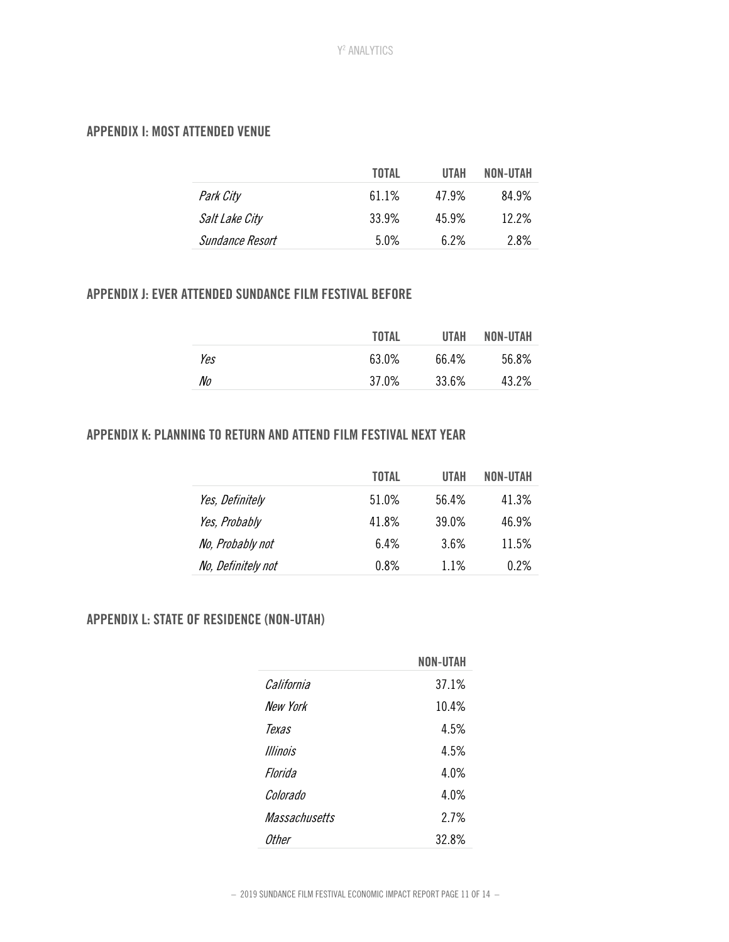## APPENDIX I: MOST ATTENDED VENUE

|                        | <b>TOTAL</b> | UTAH  | NON-UTAH |
|------------------------|--------------|-------|----------|
| Park City              | 61.1%        | 47.9% | 84.9%    |
| Salt Lake City         | 33.9%        | 45.9% | $12.2\%$ |
| <i>Sundance Resort</i> | 5.0%         | 6.2%  | 2.8%     |

## APPENDIX J: EVER ATTENDED SUNDANCE FILM FESTIVAL BEFORE

|     | <b>TOTAL</b> | <b>UTAH</b> | <b>NON-UTAH</b> |
|-----|--------------|-------------|-----------------|
| Yes | 63.0%        | 66.4%       | 56.8%           |
| No  | 37.0%        | 33.6%       | 43.2%           |

# APPENDIX K: PLANNING TO RETURN AND ATTEND FILM FESTIVAL NEXT YEAR

|                    | <b>TOTAL</b> | UTAH  | <b>NON-UTAH</b> |
|--------------------|--------------|-------|-----------------|
| Yes, Definitely    | 51.0%        | 56.4% | 41.3%           |
| Yes, Probably      | 41.8%        | 39.0% | 46.9%           |
| No, Probably not   | 6.4%         | 3.6%  | 11.5%           |
| No, Definitely not | 0.8%         | 1.1%  | 0.2%            |

# APPENDIX L: STATE OF RESIDENCE (NON-UTAH)

|               | NON-UTAH |
|---------------|----------|
| California    | 37.1%    |
| New York      | 10.4%    |
| Texas         | 4.5%     |
| Illinnis      | 4.5%     |
| Florida       | 4 0%     |
| Colorado      | 4.0%     |
| Massachusetts | 27%      |
| Nther         | 32.8%    |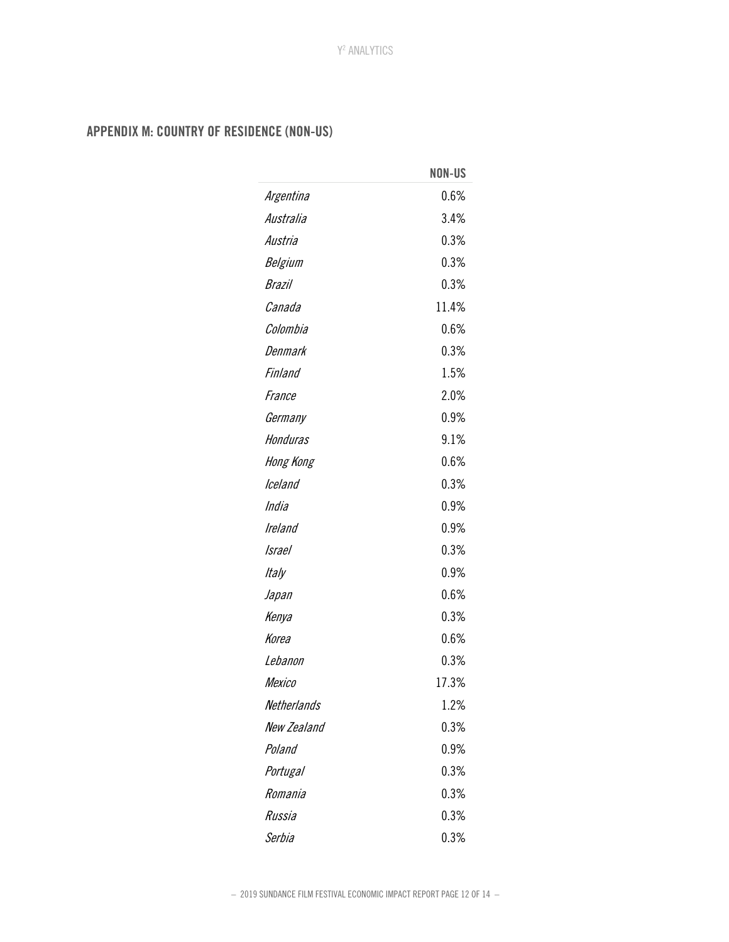# APPENDIX M: COUNTRY OF RESIDENCE (NON-US)

|                      | <b>NON-US</b> |
|----------------------|---------------|
| Argentina            | 0.6%          |
| Australia            | 3.4%          |
| Austria              | 0.3%          |
| Belgium              | 0.3%          |
| Brazil               | 0.3%          |
| Canada               | 11.4%         |
| Colombia             | 0.6%          |
| Denmark              | 0.3%          |
| Finland              | 1.5%          |
| France               | 2.0%          |
| Germany              | 0.9%          |
| Honduras             | 9.1%          |
| Hong Kong            | 0.6%          |
| Iceland              | 0.3%          |
| India                | 0.9%          |
| Ireland              | 0.9%          |
| <i><b>Israel</b></i> | 0.3%          |
| Italy                | $0.9\%$       |
| Japan                | 0.6%          |
| Kenya                | 0.3%          |
| Korea                | 0.6%          |
| Lebanon              | 0.3%          |
| Mexico               | 17.3%         |
| Netherlands          | 1.2%          |
| New Zealand          | 0.3%          |
| Poland               | 0.9%          |
| Portugal             | 0.3%          |
| Romania              | 0.3%          |
| Russia               | 0.3%          |
| Serbia               | 0.3%          |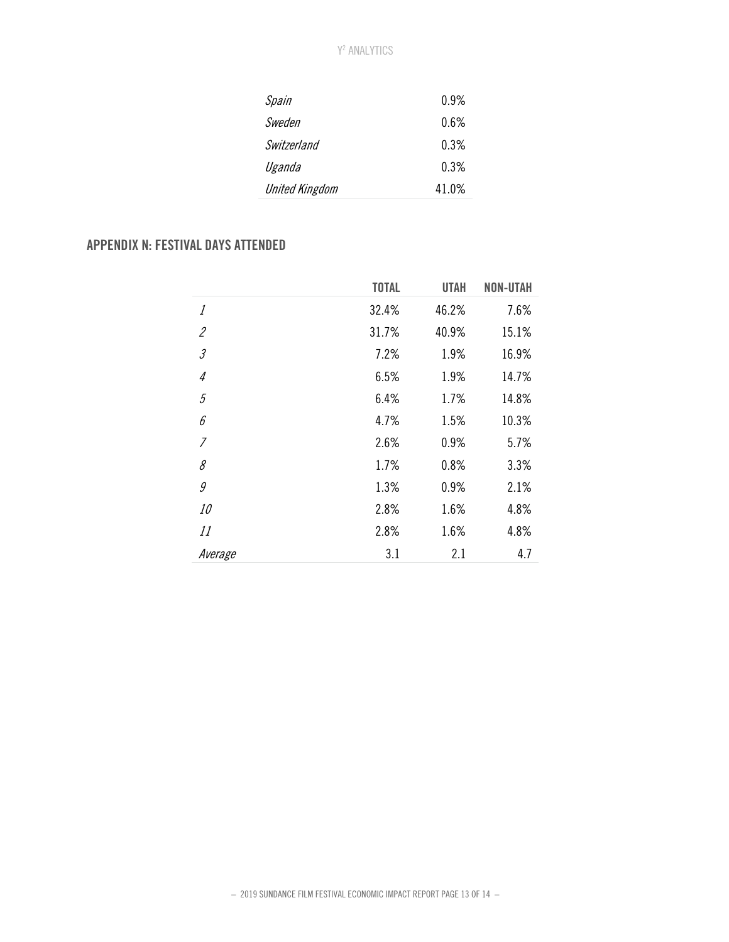#### Y<sup>2</sup> ANALYTICS

| Spain                 | 0.9%  |
|-----------------------|-------|
| Sweden                | 0.6%  |
| Switzerland           | 0.3%  |
| Uganda                | 0.3%  |
| <b>United Kingdom</b> | 41.0% |
|                       |       |

# APPENDIX N: FESTIVAL DAYS ATTENDED

|                                                                                                                                                                                                                                                                                                                                                                                                                                                           | <b>TOTAL</b> | <b>UTAH</b> | <b>NON-UTAH</b> |
|-----------------------------------------------------------------------------------------------------------------------------------------------------------------------------------------------------------------------------------------------------------------------------------------------------------------------------------------------------------------------------------------------------------------------------------------------------------|--------------|-------------|-----------------|
| 1                                                                                                                                                                                                                                                                                                                                                                                                                                                         | 32.4%        | 46.2%       | 7.6%            |
| $\mathcal{L}_{\mathcal{L}}$                                                                                                                                                                                                                                                                                                                                                                                                                               | 31.7%        | 40.9%       | 15.1%           |
| $\mathcal{J}% _{G}=\mathcal{J}_{G}=\mathcal{J}_{G}=\mathcal{J}_{G}=\mathcal{J}_{G}=\mathcal{J}_{G}=\mathcal{J}_{G}=\mathcal{J}_{G}=\mathcal{J}_{G}=\mathcal{J}_{G}=\mathcal{J}_{G}=\mathcal{J}_{G}=\mathcal{J}_{G}=\mathcal{J}_{G}=\mathcal{J}_{G}=\mathcal{J}_{G}=\mathcal{J}_{G}=\mathcal{J}_{G}=\mathcal{J}_{G}=\mathcal{J}_{G}=\mathcal{J}_{G}=\mathcal{J}_{G}=\mathcal{J}_{G}=\mathcal{J}_{G}=\mathcal{J}_{G}=\mathcal{J}_{G}=\mathcal{J}_{G}=\math$ | 7.2%         | 1.9%        | 16.9%           |
| $\overline{4}$                                                                                                                                                                                                                                                                                                                                                                                                                                            | 6.5%         | 1.9%        | 14.7%           |
| 5                                                                                                                                                                                                                                                                                                                                                                                                                                                         | 6.4%         | 1.7%        | 14.8%           |
| 6                                                                                                                                                                                                                                                                                                                                                                                                                                                         | 4.7%         | 1.5%        | 10.3%           |
| $\overline{7}$                                                                                                                                                                                                                                                                                                                                                                                                                                            | 2.6%         | 0.9%        | 5.7%            |
| 8                                                                                                                                                                                                                                                                                                                                                                                                                                                         | 1.7%         | 0.8%        | 3.3%            |
| 9                                                                                                                                                                                                                                                                                                                                                                                                                                                         | 1.3%         | 0.9%        | 2.1%            |
| <i>10</i>                                                                                                                                                                                                                                                                                                                                                                                                                                                 | 2.8%         | 1.6%        | 4.8%            |
| 11                                                                                                                                                                                                                                                                                                                                                                                                                                                        | 2.8%         | 1.6%        | 4.8%            |
| Average                                                                                                                                                                                                                                                                                                                                                                                                                                                   | 3.1          | 2.1         | 4.7             |